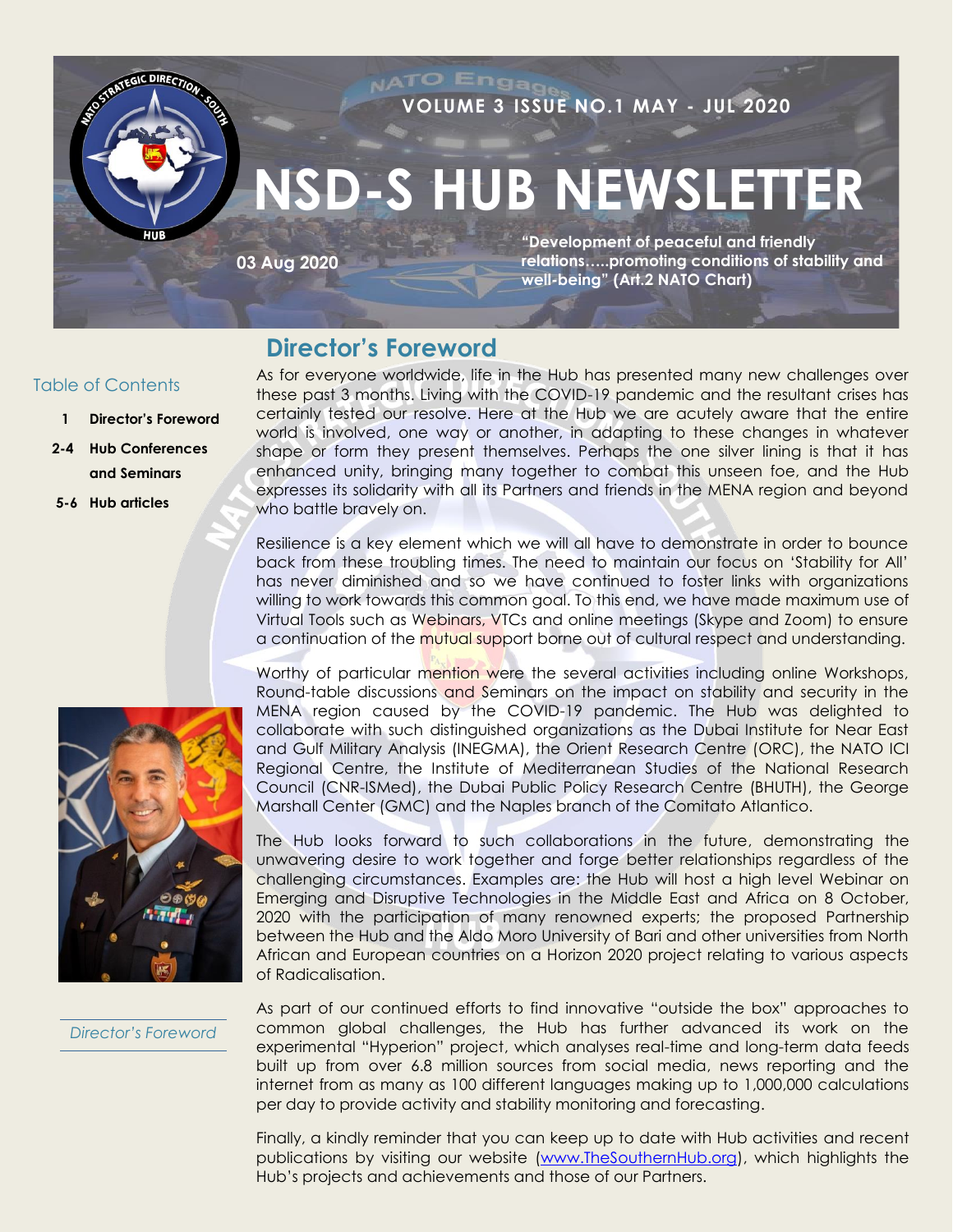

### **Director's Foreword**

#### Table of Contents

- **1 Director's Foreword**
- **2-4 Hub Conferences and Seminars**
- **5-6 Hub articles**

As for everyone worldwide, life in the Hub has presented many new challenges over these past 3 months. Living with the COVID-19 pandemic and the resultant crises has certainly tested our resolve. Here at the Hub we are acutely aware that the entire world is involved, one way or another, in adapting to these changes in whatever shape or form they present themselves. Perhaps the one silver lining is that it has enhanced unity, bringing many together to combat this unseen foe, and the Hub expresses its solidarity with all its Partners and friends in the MENA region and beyond who battle bravely on.

Resilience is a key element which we will all have to demonstrate in order to bounce back from these troubling times. The need to maintain our focus on 'Stability for All' has never diminished and so we have continued to foster links with organizations willing to work towards this common goal. To this end, we have made maximum use of Virtual Tools such as Webinars, VTCs and online meetings (Skype and Zoom) to ensure a continuation of the mutual support borne out of cultural respect and understanding.



Worthy of particular mention were the several activities including online Workshops, Round-table discussions and Seminars on the impact on stability and security in the MENA region caused by the COVID-19 pandemic. The Hub was delighted to collaborate with such distinguished organizations as the Dubai Institute for Near East and Gulf Military Analysis (INEGMA), the Orient Research Centre (ORC), the NATO ICI Regional Centre, the Institute of Mediterranean Studies of the National Research Council (CNR-ISMed), the Dubai Public Policy Research Centre (BHUTH), the George Marshall Center (GMC) and the Naples branch of the Comitato Atlantico.

The Hub looks forward to such collaborations in the future, demonstrating the unwavering desire to work together and forge better relationships regardless of the challenging circumstances. Examples are: the Hub will host a high level Webinar on Emerging and Disruptive Technologies in the Middle East and Africa on 8 October, 2020 with the participation of many renowned experts; the proposed Partnership between the Hub and the Aldo Moro University of Bari and other universities from North African and European countries on a Horizon 2020 project relating to various aspects of Radicalisation.

*Director's Foreword*

As part of our continued efforts to find innovative "outside the box" approaches to common global challenges, the Hub has further advanced its work on the experimental "Hyperion" project, which analyses real-time and long-term data feeds built up from over 6.8 million sources from social media, news reporting and the internet from as many as 100 different languages making up to 1,000,000 calculations per day to provide activity and stability monitoring and forecasting.

Finally, a kindly reminder that you can keep up to date with Hub activities and recent publications by visiting our website [\(www.TheSouthernHub.org\)](http://www.thesouthernhub.org/), which highlights the Hub's projects and achievements and those of our Partners.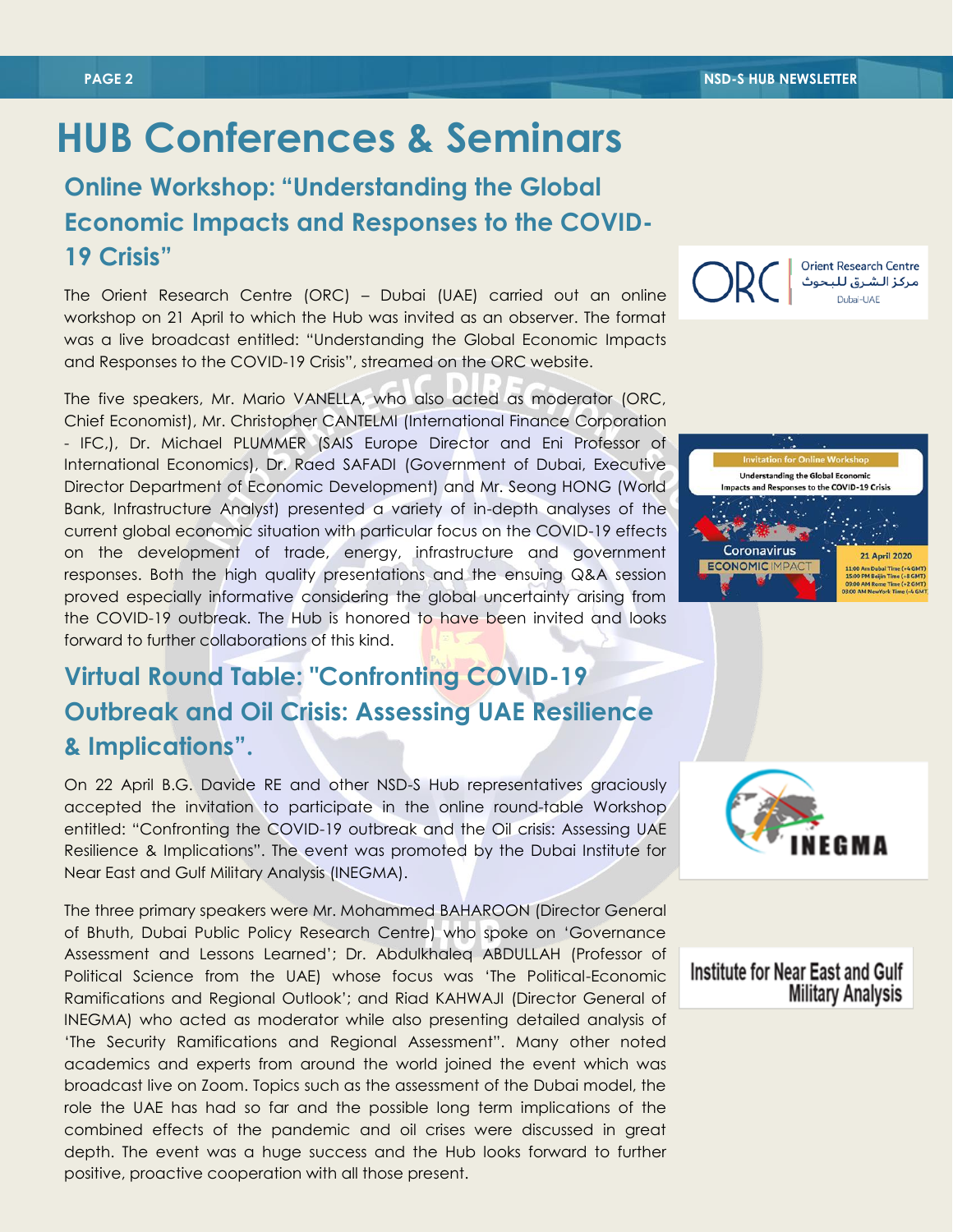$C<sub>R</sub>C$ 

ECONOMIC IMP

# **HUB Conferences & Seminars**

## **Online Workshop: "Understanding the Global Economic Impacts and Responses to the COVID-19 Crisis"**

The Orient Research Centre (ORC) – Dubai (UAE) carried out an online workshop on 21 April to which the Hub was invited as an observer. The format was a live broadcast entitled: "Understanding the Global Economic Impacts and Responses to the COVID-19 Crisis", streamed on the ORC website.

The five speakers, Mr. Mario VANELLA, who also acted as moderator (ORC, Chief Economist), Mr. Christopher CANTELMI (International Finance Corporation - IFC,), Dr. Michael PLUMMER (SAIS Europe Director and Eni Professor of International Economics), Dr. Raed SAFADI (Government of Dubai, Executive Director Department of Economic Development) and Mr. Seong HONG (World Bank, Infrastructure Analyst) presented a variety of in-depth analyses of the current global economic situation with particular focus on the COVID-19 effects on the development of trade, energy, infrastructure and government responses. Both the high quality presentations and the ensuing Q&A session proved especially informative considering the global uncertainty arising from the COVID-19 outbreak. The Hub is honored to have been invited and looks forward to further collaborations of this kind.

# **Virtual Round Table: "Confronting COVID-19 Outbreak and Oil Crisis: Assessing UAE Resilience & Implications".**

On 22 April B.G. Davide RE and other NSD-S Hub representatives graciously accepted the invitation to participate in the online round-table Workshop entitled: "Confronting the COVID-19 outbreak and the Oil crisis: Assessing UAE Resilience & Implications". The event was promoted by the Dubai Institute for Near East and Gulf Military Analysis (INEGMA).

The three primary speakers were Mr. Mohammed BAHAROON (Director General of Bhuth, Dubai Public Policy Research Centre) who spoke on 'Governance Assessment and Lessons Learned'; Dr. Abdulkhaleq ABDULLAH (Professor of Political Science from the UAE) whose focus was 'The Political-Economic Ramifications and Regional Outlook'; and Riad KAHWAJI (Director General of INEGMA) who acted as moderator while also presenting detailed analysis of 'The Security Ramifications and Regional Assessment". Many other noted academics and experts from around the world joined the event which was broadcast live on Zoom. Topics such as the assessment of the Dubai model, the role the UAE has had so far and the possible long term implications of the combined effects of the pandemic and oil crises were discussed in great depth. The event was a huge success and the Hub looks forward to further positive, proactive cooperation with all those present.



**Orient Research Centre** 

مركز الشرق للبحوث Dubai-UAF

11:00 Am Dubal Time (+4 GMT)<br>15:00 PM Beijin Time (+8 GMT)<br>19:00 AM Rome Time (+2 GMT)<br>10:00 AM Nume Time (+2 GM



#### Institute for Near East and Gulf **Military Analysis**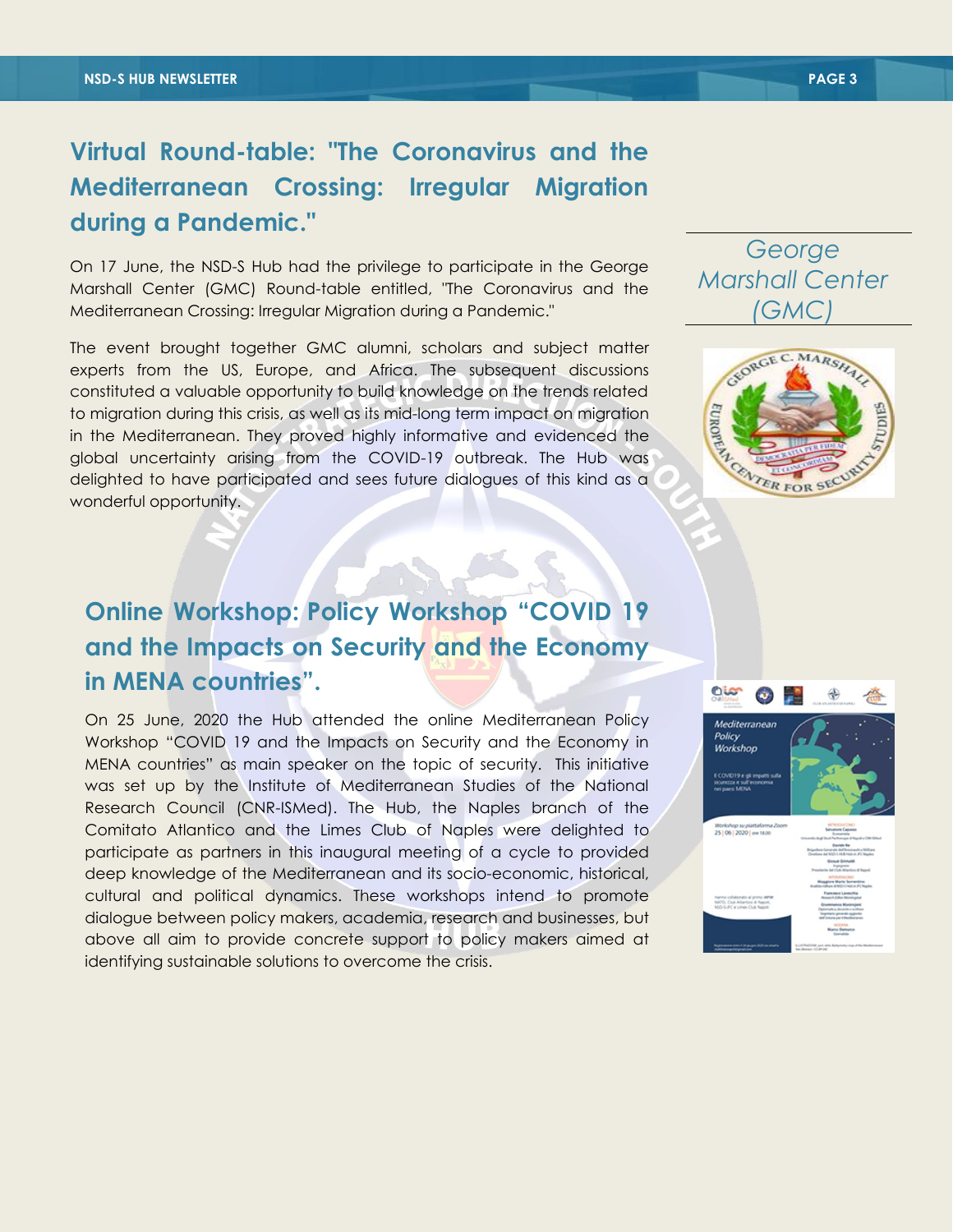## **Virtual Round-table: "The Coronavirus and the Mediterranean Crossing: Irregular Migration during a Pandemic."**

On 17 June, the NSD-S Hub had the privilege to participate in the George Marshall Center (GMC) Round-table entitled, "The Coronavirus and the Mediterranean Crossing: Irregular Migration during a Pandemic."

The event brought together GMC alumni, scholars and subject matter experts from the US, Europe, and Africa. The subsequent discussions constituted a valuable opportunity to build knowledge on the trends related to migration during this crisis, as well as its mid-long term impact on migration in the Mediterranean. They proved highly informative and evidenced the global uncertainty arising from the COVID-19 outbreak. The Hub was delighted to have participated and sees future dialogues of this kind as a wonderful opportunity.

# **Online Workshop: Policy Workshop "COVID 19 and the Impacts on Security and the Economy in MENA countries".**

On 25 June, 2020 the Hub attended the online Mediterranean Policy Workshop "COVID 19 and the Impacts on Security and the Economy in MENA countries" as main speaker on the topic of security. This initiative was set up by the Institute of Mediterranean Studies of the National Research Council (CNR-ISMed). The Hub, the Naples branch of the Comitato Atlantico and the Limes Club of Naples were delighted to participate as partners in this inaugural meeting of a cycle to provided deep knowledge of the Mediterranean and its socio-economic, historical, cultural and political dynamics. These workshops intend to promote dialogue between policy makers, academia, research and businesses, but above all aim to provide concrete support to policy makers aimed at identifying sustainable solutions to overcome the crisis.



### *George Marshall Center (GMC)*

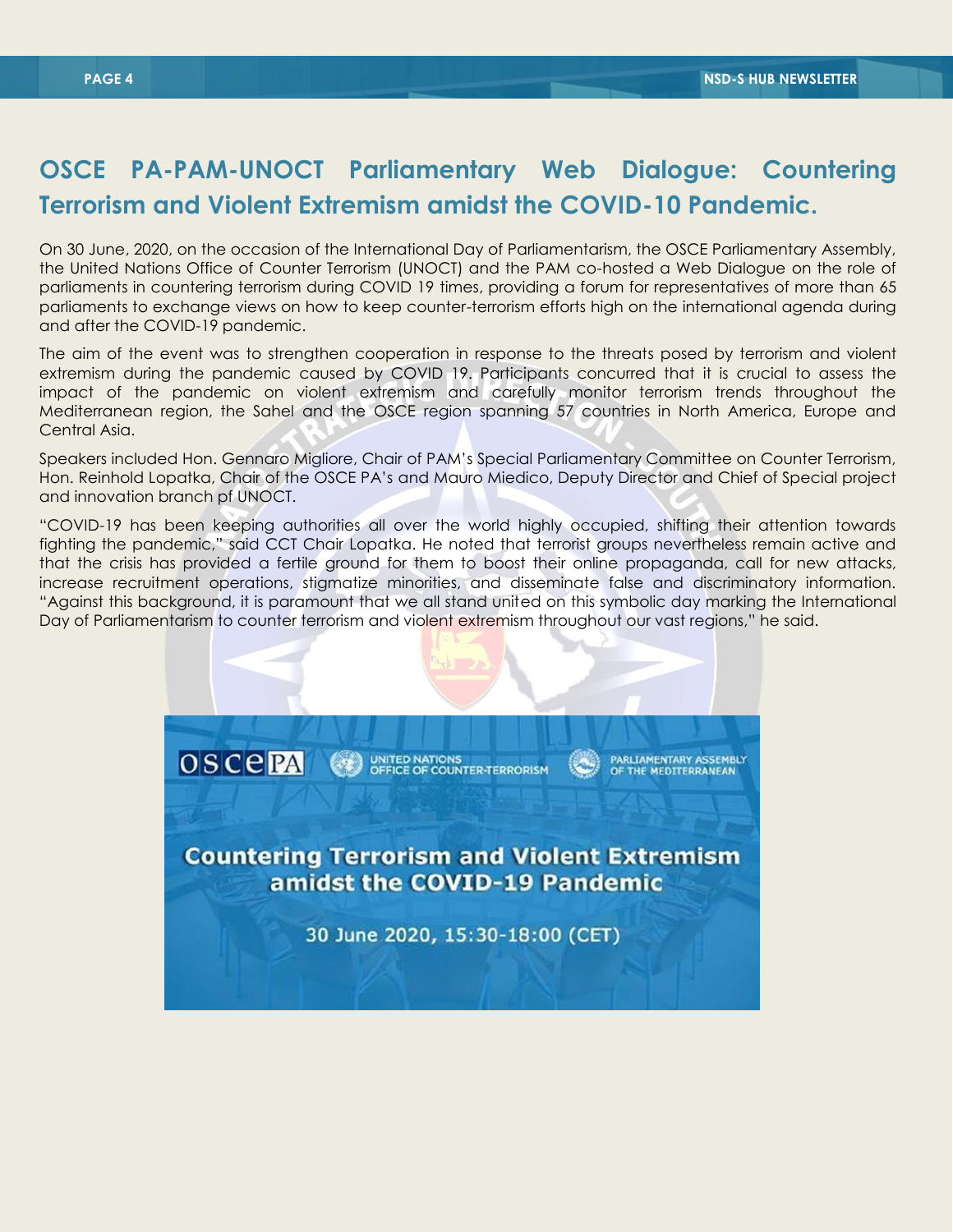### **OSCE PA-PAM-UNOCT Parliamentary Web Dialogue: Countering Terrorism and Violent Extremism amidst the COVID-10 Pandemic.**

**HUB Activities & Visits** On 30 June, 2020, on the occasion of the International Day of Parliamentarism, the OSCE Parliamentary Assembly, the United Nations Office of Counter Terrorism (UNOCT) and the PAM co-hosted a Web Dialogue on the role of parliaments in countering terrorism during COVID 19 times, providing a forum for representatives of more than 65 parliaments to exchange views on how to keep counter-terrorism efforts high on the international agenda during and after the COVID-19 pandemic.

The aim of the event was to strengthen cooperation in response to the threats posed by terrorism and violent extremism during the pandemic caused by COVID 19. Participants concurred that it is crucial to assess the impact of the pandemic on violent extremism and carefully monitor terrorism trends throughout the Mediterranean region, the Sahel and the OSCE region spanning 57 countries in North America, Europe and Central Asia.

Speakers included Hon. Gennaro Migliore, Chair of PAM's Special Parliamentary Committee on Counter Terrorism, Hon. Reinhold Lopatka, Chair of the OSCE PA's and Mauro Miedico, Deputy Director and Chief of Special project and innovation branch pf UNOCT.

"COVID-19 has been keeping authorities all over the world highly occupied, shifting their attention towards fighting the pandemic," said CCT Chair Lopatka. He noted that terrorist groups nevertheless remain active and that the crisis has provided a fertile ground for them to boost their online propaganda, call for new attacks, increase recruitment operations, stigmatize minorities, and disseminate false and discriminatory information. "Against this background, it is paramount that we all stand united on this symbolic day marking the International Day of Parliamentarism to counter terrorism and violent extremism throughout our vast regions," he said.

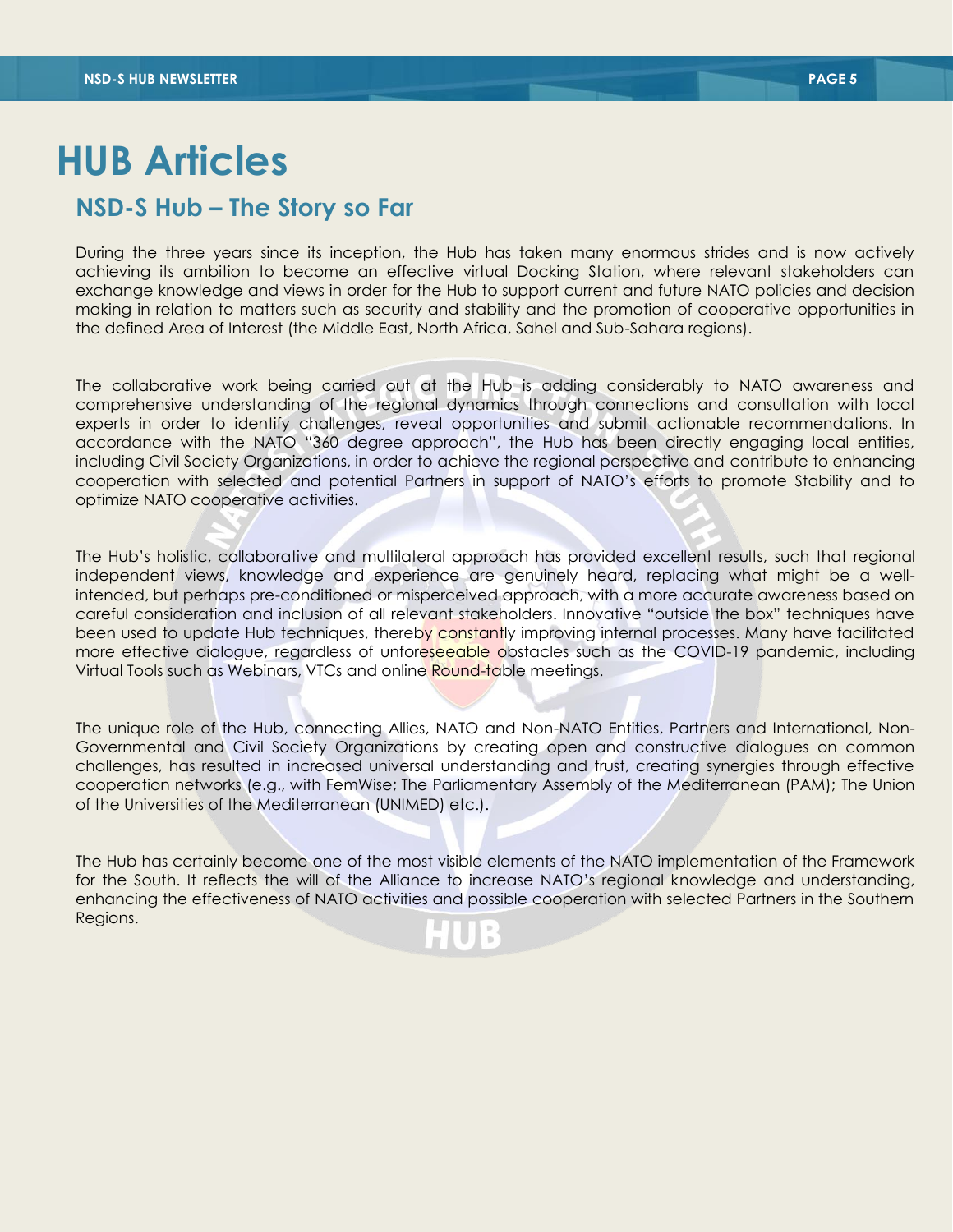# **HUB Articles**

### **NSD-S Hub – The Story so Far**

During the three years since its inception, the Hub has taken many enormous strides and is now actively achieving its ambition to become an effective virtual Docking Station, where relevant stakeholders can exchange knowledge and views in order for the Hub to support current and future NATO policies and decision making in relation to matters such as security and stability and the promotion of cooperative opportunities in the defined Area of Interest (the Middle East, North Africa, Sahel and Sub-Sahara regions).

The collaborative work being carried out at the Hub is adding considerably to NATO awareness and comprehensive understanding of the regional dynamics through connections and consultation with local experts in order to identify challenges, reveal opportunities and submit actionable recommendations. In accordance with the NATO "360 degree approach", the Hub has been directly engaging local entities, including Civil Society Organizations, in order to achieve the regional perspective and contribute to enhancing cooperation with selected and potential Partners in support of NATO's efforts to promote Stability and to optimize NATO cooperative activities.

The Hub's holistic, collaborative and multilateral approach has provided excellent results, such that regional independent views, knowledge and experience are genuinely heard, replacing what might be a wellintended, but perhaps pre-conditioned or misperceived approach, with a more accurate awareness based on careful consideration and inclusion of all relevant stakeholders. Innovative "outside the box" techniques have been used to update Hub techniques, thereby constantly improving internal processes. Many have facilitated more effective dialogue, regardless of unforeseeable obstacles such as the COVID-19 pandemic, including Virtual Tools such as Webinars, VTCs and online Round-table meetings.

The unique role of the Hub, connecting Allies, NATO and Non-NATO Entities, Partners and International, Non-Governmental and Civil Society Organizations by creating open and constructive dialogues on common challenges, has resulted in increased universal understanding and trust, creating synergies through effective cooperation networks (e.g., with FemWise; The Parliamentary Assembly of the Mediterranean (PAM); The Union of the Universities of the Mediterranean (UNIMED) etc.).

The Hub has certainly become one of the most visible elements of the NATO implementation of the Framework for the South. It reflects the will of the Alliance to increase NATO's regional knowledge and understanding, enhancing the effectiveness of NATO activities and possible cooperation with selected Partners in the Southern Regions.